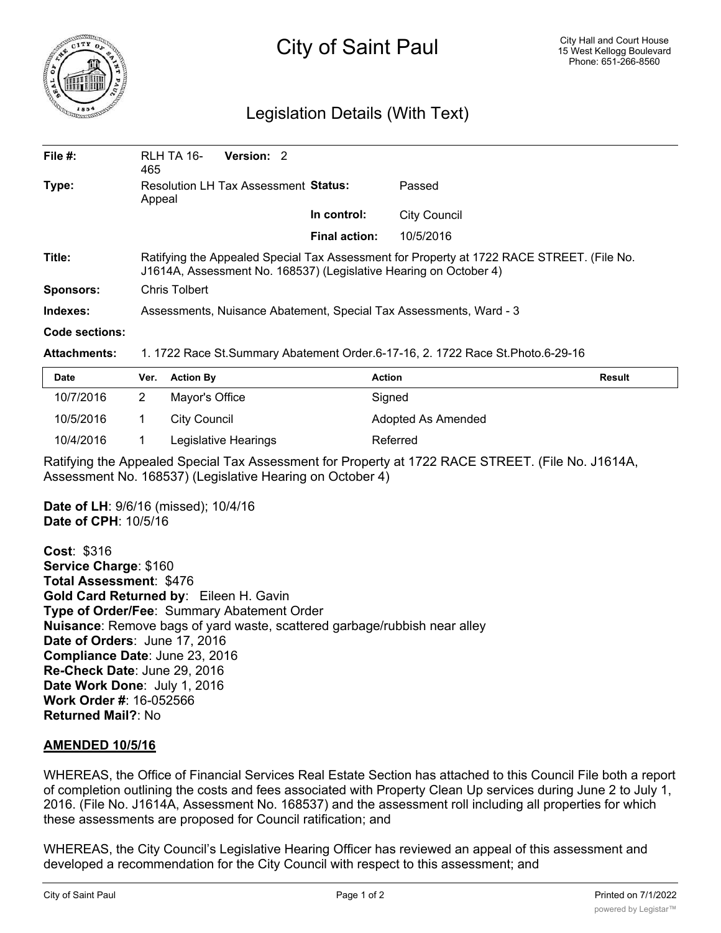

## City of Saint Paul

## Legislation Details (With Text)

| File $#$ :       | RLH TA 16-<br>465                                                                                                                                              | Version: 2                                  |               |                     |  |
|------------------|----------------------------------------------------------------------------------------------------------------------------------------------------------------|---------------------------------------------|---------------|---------------------|--|
| Type:            | Appeal                                                                                                                                                         | <b>Resolution LH Tax Assessment Status:</b> |               | Passed              |  |
|                  |                                                                                                                                                                |                                             | In control:   | <b>City Council</b> |  |
|                  |                                                                                                                                                                |                                             | Final action: | 10/5/2016           |  |
| Title:           | Ratifying the Appealed Special Tax Assessment for Property at 1722 RACE STREET. (File No.<br>J1614A, Assessment No. 168537) (Legislative Hearing on October 4) |                                             |               |                     |  |
| <b>Sponsors:</b> | Chris Tolbert                                                                                                                                                  |                                             |               |                     |  |
| Indexes:         | Assessments, Nuisance Abatement, Special Tax Assessments, Ward - 3                                                                                             |                                             |               |                     |  |
| Code sections:   |                                                                                                                                                                |                                             |               |                     |  |

## **Attachments:** 1. 1722 Race St.Summary Abatement Order.6-17-16, 2. 1722 Race St.Photo.6-29-16

| <b>Date</b> | Ver. | <b>Action By</b>     | <b>Action</b>      | <b>Result</b> |
|-------------|------|----------------------|--------------------|---------------|
| 10/7/2016   |      | Mayor's Office       | Signed             |               |
| 10/5/2016   |      | City Council         | Adopted As Amended |               |
| 10/4/2016   |      | Legislative Hearings | Referred           |               |

Ratifying the Appealed Special Tax Assessment for Property at 1722 RACE STREET. (File No. J1614A, Assessment No. 168537) (Legislative Hearing on October 4)

**Date of LH**: 9/6/16 (missed); 10/4/16 **Date of CPH**: 10/5/16

**Cost**: \$316 **Service Charge**: \$160 **Total Assessment**: \$476 **Gold Card Returned by**: Eileen H. Gavin **Type of Order/Fee**: Summary Abatement Order **Nuisance**: Remove bags of yard waste, scattered garbage/rubbish near alley **Date of Orders**: June 17, 2016 **Compliance Date**: June 23, 2016 **Re-Check Date**: June 29, 2016 **Date Work Done**: July 1, 2016 **Work Order #**: 16-052566 **Returned Mail?**: No

## **AMENDED 10/5/16**

WHEREAS, the Office of Financial Services Real Estate Section has attached to this Council File both a report of completion outlining the costs and fees associated with Property Clean Up services during June 2 to July 1, 2016. (File No. J1614A, Assessment No. 168537) and the assessment roll including all properties for which these assessments are proposed for Council ratification; and

WHEREAS, the City Council's Legislative Hearing Officer has reviewed an appeal of this assessment and developed a recommendation for the City Council with respect to this assessment; and